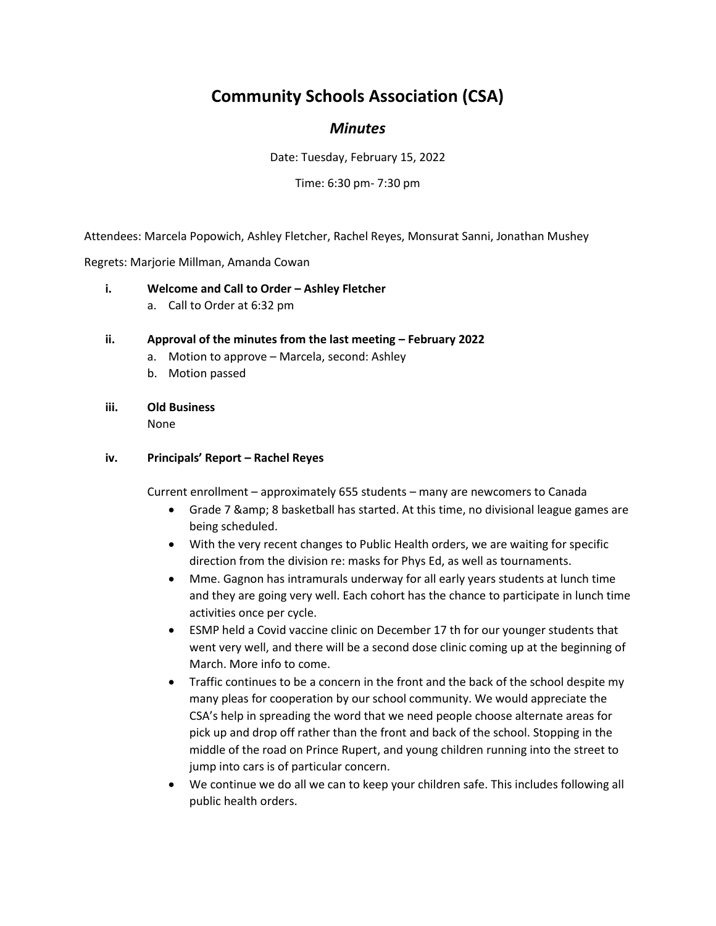# **Community Schools Association (CSA)**

# *Minutes*

Date: Tuesday, February 15, 2022

Time: 6:30 pm- 7:30 pm

Attendees: Marcela Popowich, Ashley Fletcher, Rachel Reyes, Monsurat Sanni, Jonathan Mushey

Regrets: Marjorie Millman, Amanda Cowan

- **i. Welcome and Call to Order Ashley Fletcher** 
	- a. Call to Order at 6:32 pm

#### **ii.** Approval of the minutes from the last meeting – February 2022

- a. Motion to approve Marcela, second: Ashley
- b. Motion passed
- **iii. Old Business**

None

#### **iv. Principals' Report – Rachel Reyes**

Current enrollment – approximately 655 students – many are newcomers to Canada

- Grade 7 & 8 basketball has started. At this time, no divisional league games are being scheduled.
- With the very recent changes to Public Health orders, we are waiting for specific direction from the division re: masks for Phys Ed, as well as tournaments.
- Mme. Gagnon has intramurals underway for all early years students at lunch time and they are going very well. Each cohort has the chance to participate in lunch time activities once per cycle.
- ESMP held a Covid vaccine clinic on December 17 th for our younger students that went very well, and there will be a second dose clinic coming up at the beginning of March. More info to come.
- Traffic continues to be a concern in the front and the back of the school despite my many pleas for cooperation by our school community. We would appreciate the CSA's help in spreading the word that we need people choose alternate areas for pick up and drop off rather than the front and back of the school. Stopping in the middle of the road on Prince Rupert, and young children running into the street to jump into cars is of particular concern.
- We continue we do all we can to keep your children safe. This includes following all public health orders.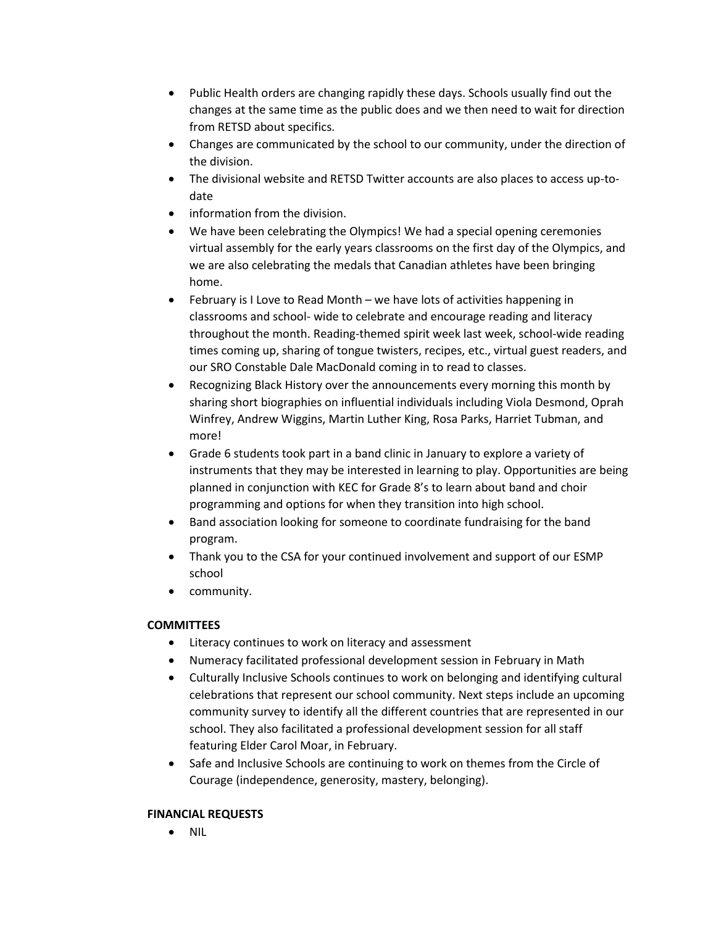- Public Health orders are changing rapidly these days. Schools usually find out the changes at the same time as the public does and we then need to wait for direction from RETSD about specifics.
- Changes are communicated by the school to our community, under the direction of the division.
- The divisional website and RETSD Twitter accounts are also places to access up-todate
- information from the division.
- We have been celebrating the Olympics! We had a special opening ceremonies virtual assembly for the early years classrooms on the first day of the Olympics, and we are also celebrating the medals that Canadian athletes have been bringing home.
- February is I Love to Read Month we have lots of activities happening in classrooms and school- wide to celebrate and encourage reading and literacy throughout the month. Reading-themed spirit week last week, school-wide reading times coming up, sharing of tongue twisters, recipes, etc., virtual guest readers, and our SRO Constable Dale MacDonald coming in to read to classes.
- Recognizing Black History over the announcements every morning this month by sharing short biographies on influential individuals including Viola Desmond, Oprah Winfrey, Andrew Wiggins, Martin Luther King, Rosa Parks, Harriet Tubman, and more!
- Grade 6 students took part in a band clinic in January to explore a variety of instruments that they may be interested in learning to play. Opportunities are being planned in conjunction with KEC for Grade 8's to learn about band and choir programming and options for when they transition into high school.
- Band association looking for someone to coordinate fundraising for the band program.
- Thank you to the CSA for your continued involvement and support of our ESMP school
- community.

## **COMMITTEES**

- Literacy continues to work on literacy and assessment
- Numeracy facilitated professional development session in February in Math
- Culturally Inclusive Schools continues to work on belonging and identifying cultural celebrations that represent our school community. Next steps include an upcoming community survey to identify all the different countries that are represented in our school. They also facilitated a professional development session for all staff featuring Elder Carol Moar, in February.
- Safe and Inclusive Schools are continuing to work on themes from the Circle of Courage (independence, generosity, mastery, belonging).

## **FINANCIAL REQUESTS**

• NIL